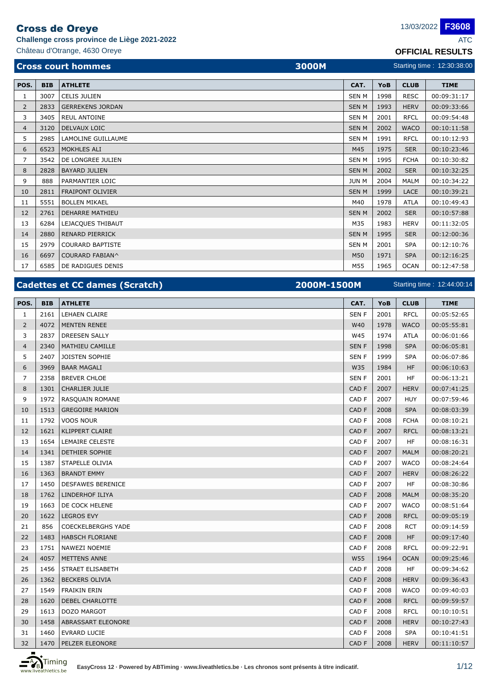**Challenge cross province de Liège 2021-2022** ATC

Château d'Otrange, 4630 Oreye **OFFICIAL RESULTS**

|  |  | 13 |
|--|--|----|
|  |  |    |

**F3608**

Starting time : 12:44:00:14

|                |            | <b>Cross court hommes</b><br>3000M |              | Starting time: 12:30:38:00 |             |             |  |
|----------------|------------|------------------------------------|--------------|----------------------------|-------------|-------------|--|
| POS.           | <b>BIB</b> | <b>ATHLETE</b>                     | CAT.         | YoB                        | <b>CLUB</b> | <b>TIME</b> |  |
| 1              | 3007       | <b>CELIS JULIEN</b>                | <b>SENM</b>  | 1998                       | <b>RESC</b> | 00:09:31:17 |  |
| $\overline{2}$ | 2833       | <b>GERREKENS JORDAN</b>            | <b>SENM</b>  | 1993                       | <b>HERV</b> | 00:09:33:66 |  |
| 3              | 3405       | <b>REUL ANTOINE</b>                | <b>SENM</b>  | 2001                       | <b>RFCL</b> | 00:09:54:48 |  |
| $\overline{4}$ | 3120       | <b>DELVAUX LOIC</b>                | <b>SENM</b>  | 2002                       | <b>WACO</b> | 00:10:11:58 |  |
| 5              | 2985       | LAMOLINE GUILLAUME                 | <b>SEN M</b> | 1991                       | <b>RFCL</b> | 00:10:12:93 |  |
| 6              | 6523       | <b>MOKHLES ALI</b>                 | M45          | 1975                       | <b>SER</b>  | 00:10:23:46 |  |
| $\overline{7}$ | 3542       | DE LONGREE JULIEN                  | <b>SEN M</b> | 1995                       | <b>FCHA</b> | 00:10:30:82 |  |
| 8              | 2828       | <b>BAYARD JULIEN</b>               | <b>SENM</b>  | 2002                       | <b>SER</b>  | 00:10:32:25 |  |
| 9              | 888        | PARMANTIER LOIC                    | <b>JUN M</b> | 2004                       | <b>MALM</b> | 00:10:34:22 |  |
| 10             | 2811       | <b>FRAIPONT OLIVIER</b>            | <b>SENM</b>  | 1999                       | LACE        | 00:10:39:21 |  |
| 11             | 5551       | <b>BOLLEN MIKAEL</b>               | M40          | 1978                       | ATLA        | 00:10:49:43 |  |
| 12             | 2761       | <b>DEHARRE MATHIEU</b>             | <b>SENM</b>  | 2002                       | <b>SER</b>  | 00:10:57:88 |  |
| 13             | 6284       | LEJACQUES THIBAUT                  | M35          | 1983                       | <b>HERV</b> | 00:11:32:05 |  |
| 14             | 2880       | <b>RENARD PIERRICK</b>             | <b>SENM</b>  | 1995                       | <b>SER</b>  | 00:12:00:36 |  |
| 15             | 2979       | <b>COURARD BAPTISTE</b>            | <b>SEN M</b> | 2001                       | <b>SPA</b>  | 00:12:10:76 |  |
| 16             | 6697       | COURARD FABIAN^                    | M50          | 1971                       | <b>SPA</b>  | 00:12:16:25 |  |
| 17             | 6585       | DE RADIGUES DENIS                  | M55          | 1965                       | <b>OCAN</b> | 00:12:47:58 |  |

## **Cadettes et CC dames (Scratch) 2000M-1500M**

| POS.           | <b>BIB</b> | <b>ATHLETE</b>            | CAT.             | YoB  | <b>CLUB</b> | <b>TIME</b> |
|----------------|------------|---------------------------|------------------|------|-------------|-------------|
| 1              | 2161       | <b>LEHAEN CLAIRE</b>      | SEN <sub>F</sub> | 2001 | <b>RFCL</b> | 00:05:52:65 |
| $\overline{2}$ | 4072       | <b>MENTEN RENEE</b>       | W40              | 1978 | <b>WACO</b> | 00:05:55:81 |
| 3              | 2837       | <b>DREESEN SALLY</b>      | W45              | 1974 | <b>ATLA</b> | 00:06:01:66 |
| $\overline{4}$ | 2340       | MATHIEU CAMILLE           | <b>SENF</b>      | 1998 | <b>SPA</b>  | 00:06:05:81 |
| 5              | 2407       | JOISTEN SOPHIE            | <b>SENF</b>      | 1999 | <b>SPA</b>  | 00:06:07:86 |
| 6              | 3969       | <b>BAAR MAGALI</b>        | W35              | 1984 | <b>HF</b>   | 00:06:10:63 |
| 7              | 2358       | <b>BREVER CHLOE</b>       | SEN <sub>F</sub> | 2001 | <b>HF</b>   | 00:06:13:21 |
| 8              | 1301       | <b>CHARLIER JULIE</b>     | CAD F            | 2007 | <b>HERV</b> | 00:07:41:25 |
| 9              | 1972       | RASQUAIN ROMANE           | CAD <sub>F</sub> | 2007 | <b>HUY</b>  | 00:07:59:46 |
| 10             | 1513       | <b>GREGOIRE MARION</b>    | CAD F            | 2008 | <b>SPA</b>  | 00:08:03:39 |
| 11             | 1792       | <b>VOOS NOUR</b>          | CAD F            | 2008 | <b>FCHA</b> | 00:08:10:21 |
| 12             | 1621       | KLIPPERT CLAIRE           | CAD <sub>F</sub> | 2007 | <b>RFCL</b> | 00:08:13:21 |
| 13             | 1654       | LEMAIRE CELESTE           | CAD <sub>F</sub> | 2007 | HF          | 00:08:16:31 |
| 14             | 1341       | <b>DETHIER SOPHIE</b>     | CAD <sub>F</sub> | 2007 | <b>MALM</b> | 00:08:20:21 |
| 15             | 1387       | STAPELLE OLIVIA           | CAD <sub>F</sub> | 2007 | <b>WACO</b> | 00:08:24:64 |
| 16             | 1363       | <b>BRANDT EMMY</b>        | CAD F            | 2007 | <b>HERV</b> | 00:08:26:22 |
| 17             | 1450       | <b>DESFAWES BERENICE</b>  | CAD F            | 2007 | <b>HF</b>   | 00:08:30:86 |
| 18             | 1762       | LINDERHOF ILIYA           | CAD <sub>F</sub> | 2008 | <b>MALM</b> | 00:08:35:20 |
| 19             | 1663       | DE COCK HELENE            | CAD <sub>F</sub> | 2007 | <b>WACO</b> | 00:08:51:64 |
| 20             | 1622       | <b>LEGROS EVY</b>         | CAD F            | 2008 | <b>RFCL</b> | 00:09:05:19 |
| 21             | 856        | <b>COECKELBERGHS YADE</b> | CAD F            | 2008 | <b>RCT</b>  | 00:09:14:59 |
| 22             | 1483       | <b>HABSCH FLORIANE</b>    | CAD <sub>F</sub> | 2008 | <b>HF</b>   | 00:09:17:40 |
| 23             | 1751       | NAWEZI NOEMIE             | CAD F            | 2008 | <b>RFCL</b> | 00:09:22:91 |
| 24             | 4057       | <b>METTENS ANNE</b>       | W55              | 1964 | <b>OCAN</b> | 00:09:25:46 |
| 25             | 1456       | STRAET ELISABETH          | CAD F            | 2008 | HF          | 00:09:34:62 |
| 26             | 1362       | <b>BECKERS OLIVIA</b>     | CAD <sub>F</sub> | 2008 | <b>HERV</b> | 00:09:36:43 |
| 27             | 1549       | <b>FRAIKIN ERIN</b>       | CAD F            | 2008 | <b>WACO</b> | 00:09:40:03 |
| 28             | 1620       | DEBEL CHARLOTTE           | CAD F            | 2008 | <b>RFCL</b> | 00:09:59:57 |
| 29             | 1613       | DOZO MARGOT               | CAD F            | 2008 | <b>RFCL</b> | 00:10:10:51 |
| 30             | 1458       | ABRASSART ELEONORE        | CAD F            | 2008 | <b>HERV</b> | 00:10:27:43 |
| 31             | 1460       | <b>EVRARD LUCIE</b>       | CAD F            | 2008 | <b>SPA</b>  | 00:10:41:51 |
| 32             | 1470       | PELZER ELEONORE           | CAD <sub>F</sub> | 2008 | <b>HERV</b> | 00:11:10:57 |

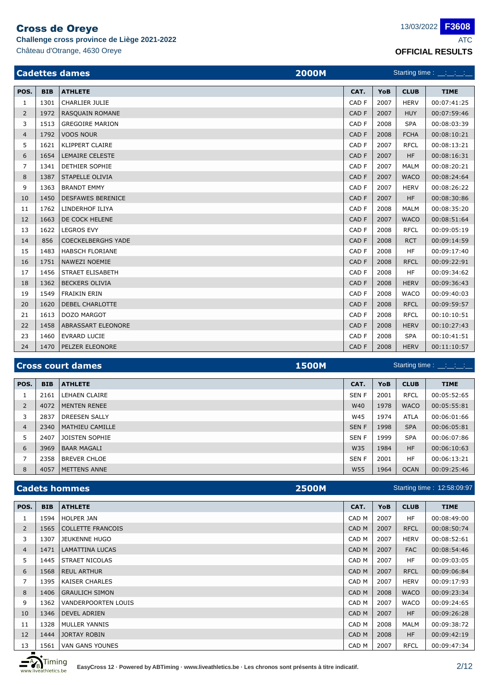**Challenge cross province de Liège 2021-2022** ATC

Starting time : \_\_:\_\_:

|                | Château d'Otrange, 4630 Oreye<br><b>OFFICIAL RESULTS</b> |                                       |       |      |             |                             |  |  |
|----------------|----------------------------------------------------------|---------------------------------------|-------|------|-------------|-----------------------------|--|--|
|                |                                                          | <b>Cadettes dames</b><br><b>2000M</b> |       |      |             | Starting time : __:__:__:__ |  |  |
| POS.           | <b>BIB</b>                                               | <b>ATHLETE</b>                        | CAT.  | YoB  | <b>CLUB</b> | <b>TIME</b>                 |  |  |
| $\mathbf{1}$   | 1301                                                     | <b>CHARLIER JULIE</b>                 | CAD F | 2007 | <b>HERV</b> | 00:07:41:25                 |  |  |
| 2              | 1972                                                     | RASQUAIN ROMANE                       | CAD F | 2007 | <b>HUY</b>  | 00:07:59:46                 |  |  |
| 3              | 1513                                                     | <b>GREGOIRE MARION</b>                | CAD F | 2008 | <b>SPA</b>  | 00:08:03:39                 |  |  |
| $\overline{4}$ | 1792                                                     | <b>VOOS NOUR</b>                      | CAD F | 2008 | <b>FCHA</b> | 00:08:10:21                 |  |  |
| 5              | 1621                                                     | KLIPPERT CLAIRE                       | CAD F | 2007 | <b>RFCL</b> | 00:08:13:21                 |  |  |
| 6              | 1654                                                     | <b>LEMAIRE CELESTE</b>                | CAD F | 2007 | <b>HF</b>   | 00:08:16:31                 |  |  |
| $\overline{7}$ | 1341                                                     | DETHIER SOPHIE                        | CAD F | 2007 | <b>MALM</b> | 00:08:20:21                 |  |  |
| 8              | 1387                                                     | STAPELLE OLIVIA                       | CAD F | 2007 | <b>WACO</b> | 00:08:24:64                 |  |  |
| 9              | 1363                                                     | <b>BRANDT EMMY</b>                    | CAD F | 2007 | <b>HERV</b> | 00:08:26:22                 |  |  |
| 10             | 1450                                                     | <b>DESFAWES BERENICE</b>              | CAD F | 2007 | <b>HF</b>   | 00:08:30:86                 |  |  |
| 11             | 1762                                                     | LINDERHOF ILIYA                       | CAD F | 2008 | <b>MALM</b> | 00:08:35:20                 |  |  |
| 12             | 1663                                                     | DE COCK HELENE                        | CAD F | 2007 | <b>WACO</b> | 00:08:51:64                 |  |  |
| 13             | 1622                                                     | <b>LEGROS EVY</b>                     | CAD F | 2008 | <b>RFCL</b> | 00:09:05:19                 |  |  |
| 14             | 856                                                      | <b>COECKELBERGHS YADE</b>             | CAD F | 2008 | <b>RCT</b>  | 00:09:14:59                 |  |  |
| 15             | 1483                                                     | <b>HABSCH FLORIANE</b>                | CAD F | 2008 | <b>HF</b>   | 00:09:17:40                 |  |  |
| 16             | 1751                                                     | <b>NAWEZI NOEMIE</b>                  | CAD F | 2008 | <b>RFCL</b> | 00:09:22:91                 |  |  |
| 17             | 1456                                                     | STRAET ELISABETH                      | CAD F | 2008 | <b>HF</b>   | 00:09:34:62                 |  |  |
| 18             | 1362                                                     | <b>BECKERS OLIVIA</b>                 | CAD F | 2008 | <b>HERV</b> | 00:09:36:43                 |  |  |
| 19             | 1549                                                     | <b>FRAIKIN ERIN</b>                   | CAD F | 2008 | <b>WACO</b> | 00:09:40:03                 |  |  |
| 20             | 1620                                                     | DEBEL CHARLOTTE                       | CAD F | 2008 | <b>RFCL</b> | 00:09:59:57                 |  |  |
| 21             | 1613                                                     | DOZO MARGOT                           | CAD F | 2008 | <b>RFCL</b> | 00:10:10:51                 |  |  |
| 22             | 1458                                                     | ABRASSART ELEONORE                    | CAD F | 2008 | <b>HERV</b> | 00:10:27:43                 |  |  |

### **Cross court dames 1500M Cross court dames**

| POS.           | <b>BIB</b> | <b>ATHLETE</b>         | CAT.        | YoB  | <b>CLUB</b> | <b>TIME</b> |
|----------------|------------|------------------------|-------------|------|-------------|-------------|
|                | 2161       | <b>LEHAEN CLAIRE</b>   | <b>SENF</b> | 2001 | <b>RFCL</b> | 00:05:52:65 |
| 2              | 4072       | <b>MENTEN RENEE</b>    | W40         | 1978 | <b>WACO</b> | 00:05:55:81 |
| 3              | 2837       | <b>DREESEN SALLY</b>   | W45         | 1974 | <b>ATLA</b> | 00:06:01:66 |
| $\overline{4}$ | 2340       | <b>MATHIEU CAMILLE</b> | <b>SENF</b> | 1998 | <b>SPA</b>  | 00:06:05:81 |
| 5              | 2407       | JOISTEN SOPHIE         | SEN F       | 1999 | <b>SPA</b>  | 00:06:07:86 |
| 6              | 3969       | <b>BAAR MAGALI</b>     | W35         | 1984 | <b>HF</b>   | 00:06:10:63 |
|                | 2358       | <b>BREVER CHLOE</b>    | SEN F       | 2001 | <b>HF</b>   | 00:06:13:21 |
| 8              | 4057       | <b>METTENS ANNE</b>    | W55         | 1964 | <b>OCAN</b> | 00:09:25:46 |

23 | 1460 | EVRARD LUCIE | CAD F | 2008 | SPA | 00:10:41:51 24 1470 PELZER ELEONORE 2008 | HERV 00:11:10:57

### **Cadets hommes 2500M** 12:58:09:97 Starting time :

| POS.           | <b>BIB</b> | <b>ATHLETE</b>             | CAT.  | <b>YoB</b> | <b>CLUB</b> | <b>TIME</b> |
|----------------|------------|----------------------------|-------|------------|-------------|-------------|
| 1              | 1594       | <b>HOLPER JAN</b>          | CAD M | 2007       | <b>HF</b>   | 00:08:49:00 |
| 2              | 1565       | <b>COLLETTE FRANCOIS</b>   | CAD M | 2007       | <b>RFCL</b> | 00:08:50:74 |
| 3              | 1307       | <b>JEUKENNE HUGO</b>       | CAD M | 2007       | <b>HERV</b> | 00:08:52:61 |
| $\overline{4}$ | 1471       | <b>LAMATTINA LUCAS</b>     | CAD M | 2007       | <b>FAC</b>  | 00:08:54:46 |
| 5              | 1445       | <b>STRAET NICOLAS</b>      | CAD M | 2007       | <b>HF</b>   | 00:09:03:05 |
| 6              | 1568       | <b>REUL ARTHUR</b>         | CAD M | 2007       | <b>RFCL</b> | 00:09:06:84 |
| 7              | 1395       | <b>KAISER CHARLES</b>      | CAD M | 2007       | <b>HERV</b> | 00:09:17:93 |
| 8              | 1406       | <b>GRAULICH SIMON</b>      | CAD M | 2008       | <b>WACO</b> | 00:09:23:34 |
| 9              | 1362       | <b>VANDERPOORTEN LOUIS</b> | CAD M | 2007       | <b>WACO</b> | 00:09:24:65 |
| 10             | 1346       | <b>DEVEL ADRIEN</b>        | CAD M | 2007       | <b>HF</b>   | 00:09:26:28 |
| 11             | 1328       | <b>MULLER YANNIS</b>       | CAD M | 2008       | <b>MALM</b> | 00:09:38:72 |
| 12             | 1444       | <b>JORTAY ROBIN</b>        | CAD M | 2008       | <b>HF</b>   | 00:09:42:19 |
| 13             | 1561       | <b>VAN GANS YOUNES</b>     | CAD M | 2007       | <b>RFCL</b> | 00:09:47:34 |

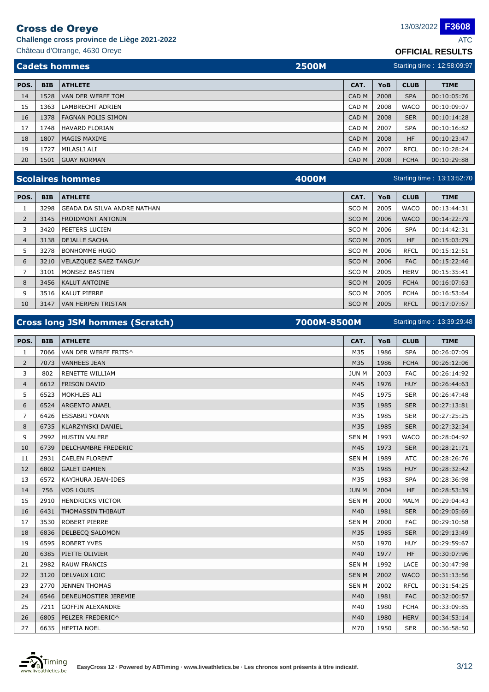**Challenge cross province de Liège 2021-2022** ATC

Château d'Otrange, 4630 Oreye **OFFICIAL RESULTS**

|      | <b>Cadets hommes</b><br><b>2500M</b> |                           |                  | Starting time: 12:58:09:97 |             |             |  |
|------|--------------------------------------|---------------------------|------------------|----------------------------|-------------|-------------|--|
| POS. | <b>BIB</b>                           | <b>ATHLETE</b>            | CAT.             | YoB                        | <b>CLUB</b> | <b>TIME</b> |  |
| 14   | 1528                                 | VAN DER WERFF TOM         | CAD <sub>M</sub> | 2008                       | <b>SPA</b>  | 00:10:05:76 |  |
| 15   | 1363                                 | LAMBRECHT ADRIEN          | CAD M            | 2008                       | <b>WACO</b> | 00:10:09:07 |  |
| 16   | 1378                                 | <b>FAGNAN POLIS SIMON</b> | CAD <sub>M</sub> | 2008                       | <b>SER</b>  | 00:10:14:28 |  |
| 17   | 1748                                 | <b>HAVARD FLORIAN</b>     | CAD M            | 2007                       | <b>SPA</b>  | 00:10:16:82 |  |
| 18   | 1807                                 | <b>IMAGIS MAXIME</b>      | CAD <sub>M</sub> | 2008                       | <b>HF</b>   | 00:10:23:47 |  |
| 19   | 1727                                 | MILASLI ALI               | CAD M            | 2007                       | <b>RFCL</b> | 00:10:28:24 |  |
| 20   | 1501                                 | <b>GUAY NORMAN</b>        | CAD <sub>M</sub> | 2008                       | <b>FCHA</b> | 00:10:29:88 |  |

|                |            | <b>Scolaires hommes</b><br>4000M   |                  | Starting time: 13:13:52:70 |             |             |  |
|----------------|------------|------------------------------------|------------------|----------------------------|-------------|-------------|--|
| POS.           | <b>BIB</b> | <b>ATHLETE</b>                     | CAT.             | YoB                        | <b>CLUB</b> | <b>TIME</b> |  |
|                | 3298       | <b>GEADA DA SILVA ANDRE NATHAN</b> | SCO M            | 2005                       | <b>WACO</b> | 00:13:44:31 |  |
| 2              | 3145       | <b>FROIDMONT ANTONIN</b>           | SCO <sub>M</sub> | 2006                       | <b>WACO</b> | 00:14:22:79 |  |
| 3              | 3420       | PEETERS LUCIEN                     | SCO <sub>M</sub> | 2006                       | <b>SPA</b>  | 00:14:42:31 |  |
| $\overline{4}$ | 3138       | <b>DEJALLE SACHA</b>               | SCO <sub>M</sub> | 2005                       | <b>HF</b>   | 00:15:03:79 |  |
| 5              | 3278       | <b>BONHOMME HUGO</b>               | SCO M            | 2006                       | <b>RFCL</b> | 00:15:12:51 |  |
| 6              | 3210       | <b>VELAZQUEZ SAEZ TANGUY</b>       | SCO <sub>M</sub> | 2006                       | <b>FAC</b>  | 00:15:22:46 |  |
| 7              | 3101       | MONSEZ BASTIEN                     | SCO M            | 2005                       | <b>HERV</b> | 00:15:35:41 |  |
| 8              | 3456       | <b>KALUT ANTOINE</b>               | SCO <sub>M</sub> | 2005                       | <b>FCHA</b> | 00:16:07:63 |  |
| 9              | 3516       | <b>KALUT PIERRE</b>                | SCO <sub>M</sub> | 2005                       | <b>FCHA</b> | 00:16:53:64 |  |
| 10             | 3147       | <b>VAN HERPEN TRISTAN</b>          | SCO <sub>M</sub> | 2005                       | <b>RFCL</b> | 00:17:07:67 |  |

| <b>Cross long JSM hommes (Scratch)</b> |            |                          | 7000M-8500M  |      |             | Starting time: 13:39:29:48 |  |  |
|----------------------------------------|------------|--------------------------|--------------|------|-------------|----------------------------|--|--|
| POS.                                   | <b>BIB</b> | <b>ATHLETE</b>           | CAT.         | YoB  | <b>CLUB</b> | <b>TIME</b>                |  |  |
| $\mathbf{1}$                           | 7066       | VAN DER WERFF FRITS^     | M35          | 1986 | <b>SPA</b>  | 00:26:07:09                |  |  |
| $\overline{2}$                         | 7073       | <b>VANHEES JEAN</b>      | M35          | 1986 | <b>FCHA</b> | 00:26:12:06                |  |  |
| 3                                      | 802        | <b>RENETTE WILLIAM</b>   | <b>JUN M</b> | 2003 | <b>FAC</b>  | 00:26:14:92                |  |  |
| 4                                      | 6612       | <b>FRISON DAVID</b>      | M45          | 1976 | <b>HUY</b>  | 00:26:44:63                |  |  |
| 5                                      | 6523       | MOKHLES ALI              | M45          | 1975 | <b>SER</b>  | 00:26:47:48                |  |  |
| 6                                      | 6524       | <b>ARGENTO ANAEL</b>     | M35          | 1985 | <b>SER</b>  | 00:27:13:81                |  |  |
| 7                                      | 6426       | <b>ESSABRI YOANN</b>     | M35          | 1985 | <b>SER</b>  | 00:27:25:25                |  |  |
| 8                                      | 6735       | <b>KLARZYNSKI DANIEL</b> | M35          | 1985 | <b>SER</b>  | 00:27:32:34                |  |  |
| 9                                      | 2992       | <b>HUSTIN VALERE</b>     | <b>SEN M</b> | 1993 | <b>WACO</b> | 00:28:04:92                |  |  |
| 10                                     | 6739       | DELCHAMBRE FREDERIC      | M45          | 1973 | <b>SER</b>  | 00:28:21:71                |  |  |
| 11                                     | 2931       | <b>CAELEN FLORENT</b>    | <b>SENM</b>  | 1989 | <b>ATC</b>  | 00:28:26:76                |  |  |
| 12                                     | 6802       | <b>GALET DAMIEN</b>      | M35          | 1985 | <b>HUY</b>  | 00:28:32:42                |  |  |
| 13                                     | 6572       | KAYIHURA JEAN-IDES       | M35          | 1983 | <b>SPA</b>  | 00:28:36:98                |  |  |
| 14                                     | 756        | VOS LOUIS                | <b>JUN M</b> | 2004 | <b>HF</b>   | 00:28:53:39                |  |  |
| 15                                     | 2910       | <b>HENDRICKS VICTOR</b>  | <b>SENM</b>  | 2000 | <b>MALM</b> | 00:29:04:43                |  |  |
| 16                                     | 6431       | THOMASSIN THIBAUT        | M40          | 1981 | <b>SER</b>  | 00:29:05:69                |  |  |
| 17                                     | 3530       | <b>ROBERT PIERRE</b>     | <b>SENM</b>  | 2000 | <b>FAC</b>  | 00:29:10:58                |  |  |
| 18                                     | 6836       | DELBECQ SALOMON          | M35          | 1985 | <b>SER</b>  | 00:29:13:49                |  |  |
| 19                                     | 6595       | <b>ROBERT YVES</b>       | M50          | 1970 | <b>HUY</b>  | 00:29:59:67                |  |  |
| 20                                     | 6385       | PIETTE OLIVIER           | M40          | 1977 | <b>HF</b>   | 00:30:07:96                |  |  |
| 21                                     | 2982       | <b>RAUW FRANCIS</b>      | <b>SENM</b>  | 1992 | <b>LACE</b> | 00:30:47:98                |  |  |
| 22                                     | 3120       | DELVAUX LOIC             | <b>SENM</b>  | 2002 | <b>WACO</b> | 00:31:13:56                |  |  |
| 23                                     | 2770       | <b>JENNEN THOMAS</b>     | <b>SENM</b>  | 2002 | <b>RFCL</b> | 00:31:54:25                |  |  |
| 24                                     | 6546       | DENEUMOSTIER JEREMIE     | M40          | 1981 | <b>FAC</b>  | 00:32:00:57                |  |  |
| 25                                     | 7211       | <b>GOFFIN ALEXANDRE</b>  | M40          | 1980 | <b>FCHA</b> | 00:33:09:85                |  |  |
| 26                                     | 6805       | PELZER FREDERIC^         | M40          | 1980 | <b>HERV</b> | 00:34:53:14                |  |  |
| 27                                     | 6635       | <b>HEPTIA NOEL</b>       | M70          | 1950 | <b>SER</b>  | 00:36:58:50                |  |  |

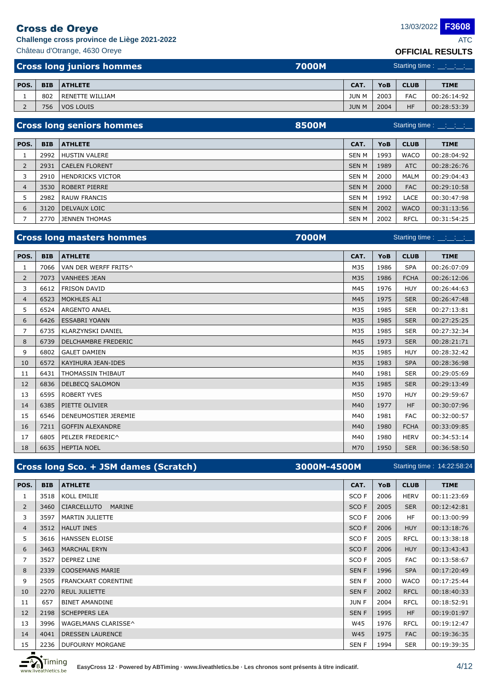**Challenge cross province de Liège 2021-2022** ATC

| <b>Cross long juniors hommes</b> | 7000M | Starting time : __:__:__:__ |
|----------------------------------|-------|-----------------------------|
| Château d'Otrange, 4630 Oreye    |       | <b>OFFICIAL RESULTS</b>     |
|                                  |       |                             |

| POS.     | <b>BIB</b> | <b>ATHLETE</b>  | CAT.         | <b>YoB</b> | <b>CLUB</b> | <b>TIME</b> |
|----------|------------|-----------------|--------------|------------|-------------|-------------|
|          | 802        | RENETTE WILLIAM | <b>JUN M</b> | 2003       | <b>FAC</b>  | 00:26:14:92 |
| <u>.</u> | 756        | VOS LOUIS       | <b>JUN M</b> | 2004       | HF          | 00:28:53:39 |

|                | <b>8500M</b><br><b>Cross long seniors hommes</b> |                         |              | Starting time : $\_\_\_\_\_\_\_\_\_\_\_\_\_\_\_\_\_\_\_\_\_\_$ |             |             |  |
|----------------|--------------------------------------------------|-------------------------|--------------|----------------------------------------------------------------|-------------|-------------|--|
|                |                                                  |                         |              |                                                                |             |             |  |
| POS.           | <b>BIB</b>                                       | <b>ATHLETE</b>          | CAT.         | <b>YoB</b>                                                     | <b>CLUB</b> | <b>TIME</b> |  |
|                | 2992                                             | <b>HUSTIN VALERE</b>    | SEN M        | 1993                                                           | <b>WACO</b> | 00:28:04:92 |  |
| $\overline{2}$ | 2931                                             | <b>CAELEN FLORENT</b>   | <b>SEN M</b> | 1989                                                           | ATC         | 00:28:26:76 |  |
| 3              | 2910                                             | <b>HENDRICKS VICTOR</b> | <b>SEN M</b> | 2000                                                           | MALM        | 00:29:04:43 |  |
| 4              | 3530                                             | <b>ROBERT PIERRE</b>    | <b>SEN M</b> | 2000                                                           | <b>FAC</b>  | 00:29:10:58 |  |
|                | 2982                                             | <b>RAUW FRANCIS</b>     | SEN M        | 1992                                                           | LACE        | 00:30:47:98 |  |
| 6              | 3120                                             | <b>DELVAUX LOIC</b>     | <b>SENM</b>  | 2002                                                           | <b>WACO</b> | 00:31:13:56 |  |
|                | 2770                                             | <b>JENNEN THOMAS</b>    | SEN M        | 2002                                                           | <b>RFCL</b> | 00:31:54:25 |  |

|                |            | <b>Cross long masters hommes</b><br><b>7000M</b> |      |      |             | Starting time : $\frac{1}{2}$ $\frac{1}{2}$ $\frac{1}{2}$ $\frac{1}{2}$ $\frac{1}{2}$ |
|----------------|------------|--------------------------------------------------|------|------|-------------|---------------------------------------------------------------------------------------|
| POS.           | <b>BIB</b> | <b>ATHLETE</b>                                   | CAT. | YoB  | <b>CLUB</b> | <b>TIME</b>                                                                           |
| 1              | 7066       | VAN DER WERFF FRITS^                             | M35  | 1986 | <b>SPA</b>  | 00:26:07:09                                                                           |
| $\overline{2}$ | 7073       | <b>VANHEES JEAN</b>                              | M35  | 1986 | <b>FCHA</b> | 00:26:12:06                                                                           |
| 3              | 6612       | <b>FRISON DAVID</b>                              | M45  | 1976 | <b>HUY</b>  | 00:26:44:63                                                                           |
| 4              | 6523       | MOKHLES ALI                                      | M45  | 1975 | <b>SER</b>  | 00:26:47:48                                                                           |
| 5              | 6524       | <b>ARGENTO ANAEL</b>                             | M35  | 1985 | <b>SER</b>  | 00:27:13:81                                                                           |
| 6              | 6426       | <b>ESSABRI YOANN</b>                             | M35  | 1985 | <b>SER</b>  | 00:27:25:25                                                                           |
| 7              | 6735       | <b>KLARZYNSKI DANIEL</b>                         | M35  | 1985 | <b>SER</b>  | 00:27:32:34                                                                           |
| 8              | 6739       | DELCHAMBRE FREDERIC                              | M45  | 1973 | <b>SER</b>  | 00:28:21:71                                                                           |
| 9              | 6802       | <b>GALET DAMIEN</b>                              | M35  | 1985 | <b>HUY</b>  | 00:28:32:42                                                                           |
| 10             | 6572       | <b>KAYIHURA JEAN-IDES</b>                        | M35  | 1983 | <b>SPA</b>  | 00:28:36:98                                                                           |
| 11             | 6431       | THOMASSIN THIBAUT                                | M40  | 1981 | <b>SER</b>  | 00:29:05:69                                                                           |
| 12             | 6836       | <b>DELBECQ SALOMON</b>                           | M35  | 1985 | <b>SER</b>  | 00:29:13:49                                                                           |
| 13             | 6595       | <b>ROBERT YVES</b>                               | M50  | 1970 | <b>HUY</b>  | 00:29:59:67                                                                           |
| 14             | 6385       | PIETTE OLIVIER                                   | M40  | 1977 | <b>HF</b>   | 00:30:07:96                                                                           |
| 15             | 6546       | DENEUMOSTIER JEREMIE                             | M40  | 1981 | <b>FAC</b>  | 00:32:00:57                                                                           |
| 16             | 7211       | <b>GOFFIN ALEXANDRE</b>                          | M40  | 1980 | <b>FCHA</b> | 00:33:09:85                                                                           |
| 17             | 6805       | PELZER FREDERIC^                                 | M40  | 1980 | <b>HERV</b> | 00:34:53:14                                                                           |
| 18             |            | 6635   HEPTIA NOEL                               | M70  | 1950 | <b>SER</b>  | 00:36:58:50                                                                           |

|                |            | Cross long Sco. + JSM dames (Scratch) | 3000M-4500M |                  | Starting time: 14:22:58:24 |             |             |  |
|----------------|------------|---------------------------------------|-------------|------------------|----------------------------|-------------|-------------|--|
| POS.           | <b>BIB</b> | <b>ATHLETE</b>                        |             | CAT.             | <b>YoB</b>                 | <b>CLUB</b> | <b>TIME</b> |  |
| 1              | 3518       | KOLL EMILIE                           |             | SCO F            | 2006                       | <b>HERV</b> | 00:11:23:69 |  |
| $\overline{2}$ | 3460       | <b>CIARCELLUTO</b><br><b>MARINE</b>   |             | SCO <sub>F</sub> | 2005                       | <b>SER</b>  | 00:12:42:81 |  |
| 3              | 3597       | MARTIN JULIETTE                       |             | SCO F            | 2006                       | HF.         | 00:13:00:99 |  |
| $\overline{4}$ | 3512       | <b>HALUT INES</b>                     |             | SCO <sub>F</sub> | 2006                       | <b>HUY</b>  | 00:13:18:76 |  |
| 5.             | 3616       | <b>HANSSEN ELOISE</b>                 |             | SCO F            | 2005                       | <b>RFCL</b> | 00:13:38:18 |  |
| 6              | 3463       | <b>MARCHAL ERYN</b>                   |             | SCO <sub>F</sub> | 2006                       | <b>HUY</b>  | 00:13:43:43 |  |
| 7              | 3527       | <b>DEPREZ LINE</b>                    |             | SCO F            | 2005                       | <b>FAC</b>  | 00:13:58:67 |  |
| 8              | 2339       | <b>COOSEMANS MARIE</b>                |             | <b>SENF</b>      | 1996                       | <b>SPA</b>  | 00:17:20:49 |  |
| 9              | 2505       | FRANCKART CORENTINE                   |             | <b>SENF</b>      | 2000                       | <b>WACO</b> | 00:17:25:44 |  |
| 10             | 2270       | <b>REUL JULIETTE</b>                  |             | <b>SENF</b>      | 2002                       | <b>RFCL</b> | 00:18:40:33 |  |
| 11             | 657        | <b>BINET AMANDINE</b>                 |             | <b>JUNF</b>      | 2004                       | <b>RFCL</b> | 00:18:52:91 |  |
| 12             | 2198       | <b>SCHEPPERS LEA</b>                  |             | <b>SENF</b>      | 1995                       | <b>HF</b>   | 00:19:01:97 |  |
| 13             | 3996       | WAGELMANS CLARISSE^                   |             | W45              | 1976                       | <b>RFCL</b> | 00:19:12:47 |  |
| 14             | 4041       | <b>DRESSEN LAURENCE</b>               |             | W45              | 1975                       | <b>FAC</b>  | 00:19:36:35 |  |
| 15             | 2236       | DUFOURNY MORGANE                      |             | <b>SENF</b>      | 1994                       | <b>SER</b>  | 00:19:39:35 |  |



**F3608**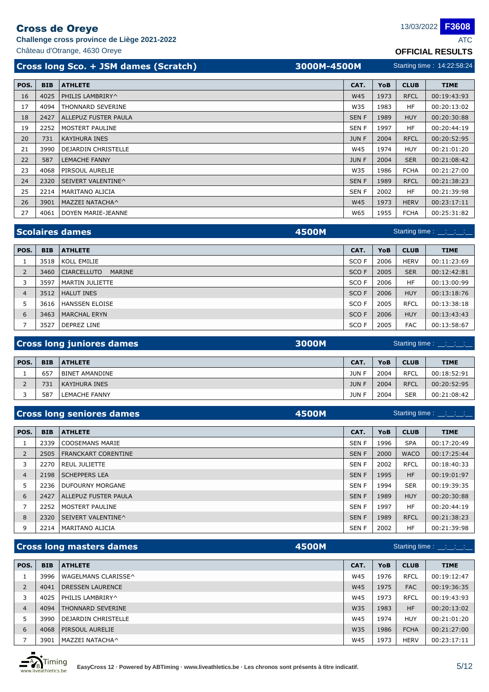**Challenge cross province de Liège 2021-2022** ATC

Château d'Otrange, 4630 Oreye **OFFICIAL RESULTS**

|      |            | Cross long Sco. + JSM dames (Scratch) | 3000M-4500M |              |      | Starting time: 14:22:58:24 |             |  |  |
|------|------------|---------------------------------------|-------------|--------------|------|----------------------------|-------------|--|--|
| POS. | <b>BIB</b> | <b>ATHLETE</b>                        |             | CAT.         | YoB  | <b>CLUB</b>                | <b>TIME</b> |  |  |
| 16   | 4025       | PHILIS LAMBRIRY^                      |             | <b>W45</b>   | 1973 | <b>RFCL</b>                | 00:19:43:93 |  |  |
| 17   | 4094       | <b>THONNARD SEVERINE</b>              |             | W35          | 1983 | HF                         | 00:20:13:02 |  |  |
| 18   | 2427       | ALLEPUZ FUSTER PAULA                  |             | <b>SENF</b>  | 1989 | <b>HUY</b>                 | 00:20:30:88 |  |  |
| 19   | 2252       | MOSTERT PAULINE                       |             | <b>SENF</b>  | 1997 | HF                         | 00:20:44:19 |  |  |
| 20   | 731        | KAYIHURA INES                         |             | <b>JUN F</b> | 2004 | <b>RFCL</b>                | 00:20:52:95 |  |  |
| 21   |            | 3990   DEJARDIN CHRISTELLE            |             | W45          | 1974 | <b>HUY</b>                 | 00:21:01:20 |  |  |

| 21 | 3990 | DEJARDIN CHRISTELLE  | <b>W45</b>   | 1974 | <b>HUY</b>  | 00:21:01:20 |
|----|------|----------------------|--------------|------|-------------|-------------|
| 22 | 587  | <b>LEMACHE FANNY</b> | <b>JUN F</b> | 2004 | <b>SER</b>  | 00:21:08:42 |
| 23 | 4068 | PIRSOUL AURELIE      | W35          | 1986 | <b>FCHA</b> | 00:21:27:00 |
| 24 | 2320 | SEIVERT VALENTINE^   | <b>SENF</b>  | 1989 | <b>RFCL</b> | 00:21:38:23 |
| 25 | 2214 | MARITANO ALICIA      | SEN F        | 2002 | HF          | 00:21:39:98 |
| 26 | 3901 | MAZZEI NATACHA^      | <b>W45</b>   | 1973 | <b>HERV</b> | 00:23:17:11 |
| 27 | 4061 | DOYEN MARIE-JEANNE   | W65          | 1955 | <b>FCHA</b> | 00:25:31:82 |

|                |            | <b>Scolaires dames</b><br>4500M     |       |            |             |             |
|----------------|------------|-------------------------------------|-------|------------|-------------|-------------|
|                |            |                                     |       |            |             |             |
| POS.           | <b>BIB</b> | <b>ATHLETE</b>                      | CAT.  | <b>YoB</b> | <b>CLUB</b> | <b>TIME</b> |
|                | 3518       | KOLL EMILIE                         | SCO F | 2006       | <b>HERV</b> | 00:11:23:69 |
| $\overline{2}$ | 3460       | <b>CIARCELLUTO</b><br><b>MARINE</b> | SCO F | 2005       | <b>SER</b>  | 00:12:42:81 |
|                | 3597       | MARTIN JULIETTE                     | SCO F | 2006       | <b>HF</b>   | 00:13:00:99 |
| 4              | 3512       | <b>HALUT INES</b>                   | SCO F | 2006       | <b>HUY</b>  | 00:13:18:76 |
| 5              | 3616       | <b>HANSSEN ELOISE</b>               | SCO F | 2005       | <b>RFCL</b> | 00:13:38:18 |
| 6              | 3463       | <b>MARCHAL ERYN</b>                 | SCO F | 2006       | <b>HUY</b>  | 00:13:43:43 |
|                | 3527       | <b>DEPREZ LINE</b>                  | SCO F | 2005       | <b>FAC</b>  | 00:13:58:67 |

|      |            | <b>Cross long juniores dames</b><br>3000M |             | Starting time : __:__:__:__ |             |             |
|------|------------|-------------------------------------------|-------------|-----------------------------|-------------|-------------|
| POS. | <b>BIB</b> | <b>ATHLETE</b>                            | CAT.        | YoB                         | <b>CLUB</b> | <b>TIME</b> |
|      | 657        | <b>BINET AMANDINE</b>                     | <b>JUNF</b> | 2004                        | <b>RFCL</b> | 00:18:52:91 |
|      | 731        | KAYIHURA INES                             | <b>JUNF</b> | 2004                        | <b>RFCL</b> | 00:20:52:95 |
|      | 587        | LEMACHE FANNY                             | <b>JUNF</b> | 2004                        | <b>SER</b>  | 00:21:08:42 |

| <b>4500M</b><br>Starting time : __:__:__:__       | <b>Cross long seniores dames</b> |                |
|---------------------------------------------------|----------------------------------|----------------|
| CAT.<br>YoB<br><b>CLUB</b><br><b>TIME</b>         | <b>BIB</b>                       | POS.           |
| 1996<br><b>SPA</b><br>SEN F<br>00:17:20:49        | 2339                             |                |
| 2000<br><b>SENF</b><br>00:17:25:44<br><b>WACO</b> | 2505                             | $\overline{2}$ |
| 2002<br><b>RFCL</b><br>00:18:40:33<br>SEN F       | 2270                             | 3              |
| <b>HF</b><br>00:19:01:97<br><b>SENF</b><br>1995   | 2198                             | $\overline{4}$ |
| 1994<br><b>SER</b><br>00:19:39:35<br>SEN F        | 2236                             | 5              |
| 1989<br><b>SENF</b><br><b>HUY</b><br>00:20:30:88  | 2427                             | 6              |
| <b>SENF</b><br><b>HF</b><br>1997<br>00:20:44:19   | 2252                             | $\overline{7}$ |
| <b>SENF</b><br>1989<br><b>RFCL</b><br>00:21:38:23 | 2320                             | 8              |
| <b>HF</b><br>00:21:39:98<br><b>SENF</b><br>2002   | 2214                             | 9              |
|                                                   |                                  |                |

|                |            | 4500M<br><b>Cross long masters dames</b> |            |            | Starting time $\frac{1}{1}$ $\frac{1}{1}$ $\frac{1}{1}$ $\frac{1}{1}$ $\frac{1}{1}$ |             |
|----------------|------------|------------------------------------------|------------|------------|-------------------------------------------------------------------------------------|-------------|
| POS.           | <b>BIB</b> | <b>ATHLETE</b>                           | CAT.       | <b>YoB</b> | <b>CLUB</b>                                                                         | <b>TIME</b> |
|                | 3996       | WAGELMANS CLARISSE^                      | W45        | 1976       | <b>RFCL</b>                                                                         | 00:19:12:47 |
| 2              | 4041       | <b>DRESSEN LAURENCE</b>                  | <b>W45</b> | 1975       | <b>FAC</b>                                                                          | 00:19:36:35 |
| 3              | 4025       | PHILIS LAMBRIRY^                         | W45        | 1973       | <b>RFCL</b>                                                                         | 00:19:43:93 |
| $\overline{4}$ | 4094       | <b>THONNARD SEVERINE</b>                 | W35        | 1983       | <b>HF</b>                                                                           | 00:20:13:02 |
| 5              | 3990       | <b>DEJARDIN CHRISTELLE</b>               | W45        | 1974       | <b>HUY</b>                                                                          | 00:21:01:20 |
| 6              | 4068       | PIRSOUL AURELIE                          | W35        | 1986       | <b>FCHA</b>                                                                         | 00:21:27:00 |
|                | 3901       | MAZZEI NATACHA^                          | W45        | 1973       | <b>HERV</b>                                                                         | 00:23:17:11 |

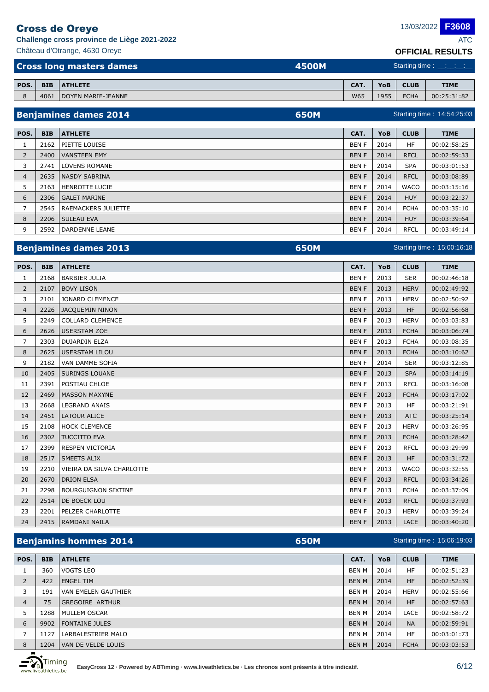**Challenge cross province de Liège 2021-2022** ATC

Château d'Otrange, 4630 Oreye **OFFICIAL RESULTS Cross long masters dames** 

|       | <u>ULLIUIALINLUULIU</u>                                                               |
|-------|---------------------------------------------------------------------------------------|
| 4500M | Starting time : $\frac{1}{2}$ $\frac{1}{2}$ $\frac{1}{2}$ $\frac{1}{2}$ $\frac{1}{2}$ |

| POS. | <b>BIB</b> | <b>ATHLETE</b>     | CAT. | YoB  | <b>CLUB</b> | <b>TIME</b> |
|------|------------|--------------------|------|------|-------------|-------------|
|      | 406.       | DOYEN MARIE-JEANNE | W65  | 1955 | <b>FCHA</b> | 00:25:31:82 |

|                |            | <b>Benjamines dames 2014</b><br><b>650M</b> |             |      |             | Starting time: 14:54:25:03 |
|----------------|------------|---------------------------------------------|-------------|------|-------------|----------------------------|
| POS.           | <b>BIB</b> | <b>ATHLETE</b>                              | CAT.        | YoB  | <b>CLUB</b> | <b>TIME</b>                |
|                |            |                                             |             |      |             |                            |
| Τ.             | 2162       | PIETTE LOUISE                               | <b>BENF</b> | 2014 | HF          | 00:02:58:25                |
| $\overline{2}$ | 2400       | <b>VANSTEEN EMY</b>                         | <b>BENF</b> | 2014 | <b>RFCL</b> | 00:02:59:33                |
| 3              | 2741       | <b>LOVENS ROMANE</b>                        | <b>BENF</b> | 2014 | <b>SPA</b>  | 00:03:01:53                |
| $\overline{4}$ | 2635       | NASDY SABRINA                               | <b>BENF</b> | 2014 | <b>RFCL</b> | 00:03:08:89                |
| 5              | 2163       | <b>HENROTTE LUCIE</b>                       | <b>BENF</b> | 2014 | <b>WACO</b> | 00:03:15:16                |
| 6              | 2306       | <b>GALET MARINE</b>                         | <b>BENF</b> | 2014 | <b>HUY</b>  | 00:03:22:37                |
|                | 2545       | RAEMACKERS JULIETTE                         | <b>BENF</b> | 2014 | <b>FCHA</b> | 00:03:35:10                |
| 8              | 2206       | <b>SULEAU EVA</b>                           | <b>BENF</b> | 2014 | <b>HUY</b>  | 00:03:39:64                |
| 9              | 2592       | DARDENNE LEANE                              | <b>BENF</b> | 2014 | <b>RFCL</b> | 00:03:49:14                |

## **Benjamines dames 2013 650M**

| POS.           | <b>BIB</b> | <b>ATHLETE</b>             | CAT.        | YoB  | <b>CLUB</b> | <b>TIME</b> |
|----------------|------------|----------------------------|-------------|------|-------------|-------------|
| 1              | 2168       | <b>BARBIER JULIA</b>       | <b>BENF</b> | 2013 | <b>SER</b>  | 00:02:46:18 |
| 2              | 2107       | <b>BOVY LISON</b>          | <b>BENF</b> | 2013 | <b>HERV</b> | 00:02:49:92 |
| 3              | 2101       | <b>JONARD CLEMENCE</b>     | <b>BENF</b> | 2013 | <b>HERV</b> | 00:02:50:92 |
| $\overline{4}$ | 2226       | <b>JACQUEMIN NINON</b>     | <b>BENF</b> | 2013 | <b>HF</b>   | 00:02:56:68 |
| 5              | 2249       | <b>COLLARD CLEMENCE</b>    | <b>BENF</b> | 2013 | <b>HERV</b> | 00:03:03:83 |
| 6              | 2626       | <b>USERSTAM ZOE</b>        | <b>BENF</b> | 2013 | <b>FCHA</b> | 00:03:06:74 |
| 7              | 2303       | <b>DUJARDIN ELZA</b>       | <b>BENF</b> | 2013 | <b>FCHA</b> | 00:03:08:35 |
| 8              | 2625       | <b>USERSTAM LILOU</b>      | <b>BENF</b> | 2013 | <b>FCHA</b> | 00:03:10:62 |
| 9              | 2182       | VAN DAMME SOFIA            | <b>BENF</b> | 2014 | <b>SER</b>  | 00:03:12:85 |
| 10             | 2405       | <b>SURINGS LOUANE</b>      | <b>BENF</b> | 2013 | <b>SPA</b>  | 00:03:14:19 |
| 11             | 2391       | POSTIAU CHLOE              | <b>BENF</b> | 2013 | <b>RFCL</b> | 00:03:16:08 |
| 12             | 2469       | <b>MASSON MAXYNE</b>       | <b>BENF</b> | 2013 | <b>FCHA</b> | 00:03:17:02 |
| 13             | 2668       | <b>LEGRAND ANAIS</b>       | <b>BENF</b> | 2013 | <b>HF</b>   | 00:03:21:91 |
| 14             | 2451       | <b>LATOUR ALICE</b>        | <b>BENF</b> | 2013 | <b>ATC</b>  | 00:03:25:14 |
| 15             | 2108       | <b>HOCK CLEMENCE</b>       | <b>BENF</b> | 2013 | <b>HERV</b> | 00:03:26:95 |
| 16             | 2302       | <b>TUCCITTO EVA</b>        | <b>BENF</b> | 2013 | <b>FCHA</b> | 00:03:28:42 |
| 17             | 2399       | <b>RESPEN VICTORIA</b>     | <b>BENF</b> | 2013 | <b>RFCL</b> | 00:03:29:99 |
| 18             | 2517       | <b>SMEETS ALIX</b>         | <b>BENF</b> | 2013 | <b>HF</b>   | 00:03:31:72 |
| 19             | 2210       | VIEIRA DA SILVA CHARLOTTE  | <b>BENF</b> | 2013 | <b>WACO</b> | 00:03:32:55 |
| 20             | 2670       | <b>DRION ELSA</b>          | <b>BENF</b> | 2013 | <b>RFCL</b> | 00:03:34:26 |
| 21             | 2298       | <b>BOURGUIGNON SIXTINE</b> | <b>BENF</b> | 2013 | <b>FCHA</b> | 00:03:37:09 |
| 22             | 2514       | DE BOECK LOU               | <b>BENF</b> | 2013 | <b>RFCL</b> | 00:03:37:93 |
| 23             | 2201       | PELZER CHARLOTTE           | <b>BENF</b> | 2013 | <b>HERV</b> | 00:03:39:24 |
| 24             | 2415       | RAMDANI NAILA              | <b>BENF</b> | 2013 | <b>LACE</b> | 00:03:40:20 |

## **Benjamins hommes 2014 650M**

| POS.           | <b>BIB</b> | <b>ATHLETE</b>         | CAT.         | YoB  | <b>CLUB</b> | <b>TIME</b> |
|----------------|------------|------------------------|--------------|------|-------------|-------------|
|                | 360        | <b>VOGTS LEO</b>       | BEN M        | 2014 | HF          | 00:02:51:23 |
| 2              | 422        | <b>ENGEL TIM</b>       | <b>BEN M</b> | 2014 | <b>HF</b>   | 00:02:52:39 |
| 3              | 191        | VAN EMELEN GAUTHIER    | BEN M        | 2014 | <b>HERV</b> | 00:02:55:66 |
| $\overline{4}$ | 75         | <b>GREGOIRE ARTHUR</b> | <b>BEN M</b> | 2014 | <b>HF</b>   | 00:02:57:63 |
| 5              | 1288       | MULLEM OSCAR           | BEN M        | 2014 | LACE        | 00:02:58:72 |
| 6              | 9902       | <b>FONTAINE JULES</b>  | <b>BEN M</b> | 2014 | <b>NA</b>   | 00:02:59:91 |
| 7              | 1127       | LARBALESTRIER MALO     | BEN M        | 2014 | HF          | 00:03:01:73 |
| 8              | 1204       | VAN DE VELDE LOUIS     | <b>BEN M</b> | 2014 | <b>FCHA</b> | 00:03:03:53 |

Timing thletics.be Starting time : 15:06:19:03

**F3608**

Starting time : 15:00:16:18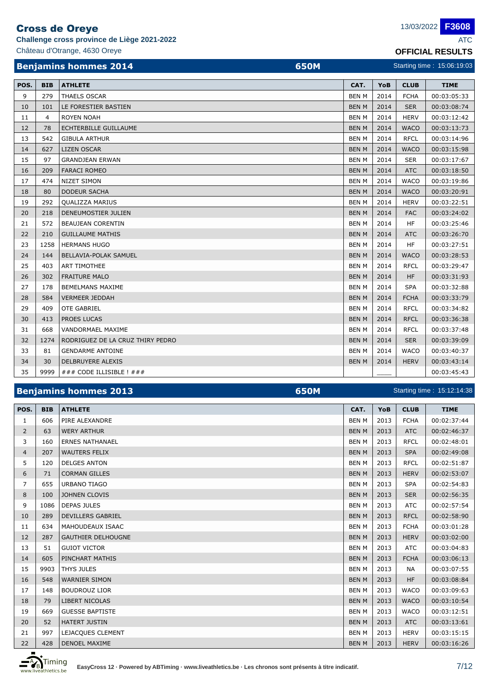## Cross de Oreye

**Challenge cross province de Liège 2021-2022** ATC

Château d'Otrange, 4630 Oreye **OFFICIAL RESULTS**

**F3608**

|      |            | <b>Benjamins hommes 2014</b><br><b>650M</b> |              |      |             | Starting time: 15:06:19:03 |
|------|------------|---------------------------------------------|--------------|------|-------------|----------------------------|
| POS. | <b>BIB</b> | <b>ATHLETE</b>                              | CAT.         | YoB  | <b>CLUB</b> | <b>TIME</b>                |
| 9    | 279        | <b>THAELS OSCAR</b>                         | <b>BEN M</b> | 2014 | <b>FCHA</b> | 00:03:05:33                |
| 10   | 101        | LE FORESTIER BASTIEN                        | <b>BEN M</b> | 2014 | <b>SER</b>  | 00:03:08:74                |
| 11   | 4          | <b>ROYEN NOAH</b>                           | <b>BEN M</b> | 2014 | <b>HERV</b> | 00:03:12:42                |
| 12   | 78         | ECHTERBILLE GUILLAUME                       | <b>BEN M</b> | 2014 | <b>WACO</b> | 00:03:13:73                |
| 13   | 542        | <b>GIBULA ARTHUR</b>                        | <b>BEN M</b> | 2014 | <b>RFCL</b> | 00:03:14:96                |
| 14   | 627        | <b>LIZEN OSCAR</b>                          | <b>BEN M</b> | 2014 | <b>WACO</b> | 00:03:15:98                |
| 15   | 97         | <b>GRANDJEAN ERWAN</b>                      | <b>BEN M</b> | 2014 | <b>SER</b>  | 00:03:17:67                |
| 16   | 209        | <b>FARACI ROMEO</b>                         | <b>BEN M</b> | 2014 | <b>ATC</b>  | 00:03:18:50                |
| 17   | 474        | <b>NIZET SIMON</b>                          | <b>BEN M</b> | 2014 | <b>WACO</b> | 00:03:19:86                |
| 18   | 80         | <b>DODEUR SACHA</b>                         | <b>BEN M</b> | 2014 | <b>WACO</b> | 00:03:20:91                |
| 19   | 292        | <b>QUALIZZA MARIUS</b>                      | <b>BEN M</b> | 2014 | <b>HERV</b> | 00:03:22:51                |
| 20   | 218        | DENEUMOSTIER JULIEN                         | <b>BEN M</b> | 2014 | <b>FAC</b>  | 00:03:24:02                |
| 21   | 572        | <b>BEAUJEAN CORENTIN</b>                    | <b>BEN M</b> | 2014 | <b>HF</b>   | 00:03:25:46                |
| 22   | 210        | <b>GUILLAUME MATHIS</b>                     | <b>BEN M</b> | 2014 | <b>ATC</b>  | 00:03:26:70                |
| 23   | 1258       | <b>HERMANS HUGO</b>                         | <b>BEN M</b> | 2014 | <b>HF</b>   | 00:03:27:51                |
| 24   | 144        | BELLAVIA-POLAK SAMUEL                       | <b>BEN M</b> | 2014 | <b>WACO</b> | 00:03:28:53                |
| 25   | 403        | <b>ART TIMOTHEE</b>                         | <b>BEN M</b> | 2014 | <b>RFCL</b> | 00:03:29:47                |
| 26   | 302        | <b>FRAITURE MALO</b>                        | <b>BEN M</b> | 2014 | <b>HF</b>   | 00:03:31:93                |
| 27   | 178        | <b>BEMELMANS MAXIME</b>                     | <b>BEN M</b> | 2014 | <b>SPA</b>  | 00:03:32:88                |
| 28   | 584        | <b>VERMEER JEDDAH</b>                       | <b>BEN M</b> | 2014 | <b>FCHA</b> | 00:03:33:79                |
| 29   | 409        | <b>OTE GABRIEL</b>                          | <b>BEN M</b> | 2014 | <b>RFCL</b> | 00:03:34:82                |
| 30   | 413        | PROES LUCAS                                 | <b>BEN M</b> | 2014 | <b>RFCL</b> | 00:03:36:38                |
| 31   | 668        | VANDORMAEL MAXIME                           | <b>BEN M</b> | 2014 | <b>RFCL</b> | 00:03:37:48                |
| 32   | 1274       | RODRIGUEZ DE LA CRUZ THIRY PEDRO            | <b>BEN M</b> | 2014 | <b>SER</b>  | 00:03:39:09                |
| 33   | 81         | <b>GENDARME ANTOINE</b>                     | <b>BEN M</b> | 2014 | <b>WACO</b> | 00:03:40:37                |
| 34   | 30         | DELBRUYERE ALEXIS                           | <b>BEN M</b> | 2014 | <b>HERV</b> | 00:03:43:14                |
| 35   | 9999       | ### CODE ILLISIBLE ! ###                    |              |      |             | 00:03:45:43                |

### **Benjamins hommes 2013 650M**

### Starting time : 15:12:14:38

| POS.           | <b>BIB</b> | <b>ATHLETE</b>            | CAT.         | YoB  | <b>CLUB</b> | <b>TIME</b> |
|----------------|------------|---------------------------|--------------|------|-------------|-------------|
| 1              | 606        | PIRE ALEXANDRE            | <b>BEN M</b> | 2013 | <b>FCHA</b> | 00:02:37:44 |
| 2              | 63         | <b>WERY ARTHUR</b>        | <b>BEN M</b> | 2013 | <b>ATC</b>  | 00:02:46:37 |
| 3              | 160        | <b>ERNES NATHANAEL</b>    | <b>BEN M</b> | 2013 | <b>RFCL</b> | 00:02:48:01 |
| $\overline{4}$ | 207        | <b>WAUTERS FELIX</b>      | <b>BEN M</b> | 2013 | <b>SPA</b>  | 00:02:49:08 |
| 5              | 120        | <b>DELGES ANTON</b>       | <b>BEN M</b> | 2013 | <b>RFCL</b> | 00:02:51:87 |
| 6              | 71         | <b>CORMAN GILLES</b>      | <b>BEN M</b> | 2013 | <b>HERV</b> | 00:02:53:07 |
| 7              | 655        | <b>URBANO TIAGO</b>       | <b>BEN M</b> | 2013 | <b>SPA</b>  | 00:02:54:83 |
| 8              | 100        | <b>JOHNEN CLOVIS</b>      | <b>BEN M</b> | 2013 | <b>SER</b>  | 00:02:56:35 |
| 9              | 1086       | <b>DEPAS JULES</b>        | <b>BEN M</b> | 2013 | <b>ATC</b>  | 00:02:57:54 |
| 10             | 289        | <b>DEVILLERS GABRIEL</b>  | <b>BEN M</b> | 2013 | <b>RFCL</b> | 00:02:58:90 |
| 11             | 634        | MAHOUDEAUX ISAAC          | <b>BEN M</b> | 2013 | <b>FCHA</b> | 00:03:01:28 |
| 12             | 287        | <b>GAUTHIER DELHOUGNE</b> | <b>BEN M</b> | 2013 | <b>HERV</b> | 00:03:02:00 |
| 13             | 51         | <b>GUIOT VICTOR</b>       | <b>BEN M</b> | 2013 | <b>ATC</b>  | 00:03:04:83 |
| 14             | 605        | PINCHART MATHIS           | <b>BEN M</b> | 2013 | <b>FCHA</b> | 00:03:06:13 |
| 15             | 9903       | <b>THYS JULES</b>         | <b>BEN M</b> | 2013 | <b>NA</b>   | 00:03:07:55 |
| 16             | 548        | <b>WARNIER SIMON</b>      | <b>BEN M</b> | 2013 | <b>HF</b>   | 00:03:08:84 |
| 17             | 148        | <b>BOUDROUZ LIOR</b>      | <b>BEN M</b> | 2013 | <b>WACO</b> | 00:03:09:63 |
| 18             | 79         | <b>LIBERT NICOLAS</b>     | <b>BEN M</b> | 2013 | <b>WACO</b> | 00:03:10:54 |
| 19             | 669        | <b>GUESSE BAPTISTE</b>    | <b>BEN M</b> | 2013 | <b>WACO</b> | 00:03:12:51 |
| 20             | 52         | <b>HATERT JUSTIN</b>      | <b>BEN M</b> | 2013 | <b>ATC</b>  | 00:03:13:61 |
| 21             | 997        | LEJACQUES CLEMENT         | <b>BEN M</b> | 2013 | <b>HERV</b> | 00:03:15:15 |
| 22             | 428        | <b>DENOEL MAXIME</b>      | <b>BEN M</b> | 2013 | <b>HERV</b> | 00:03:16:26 |

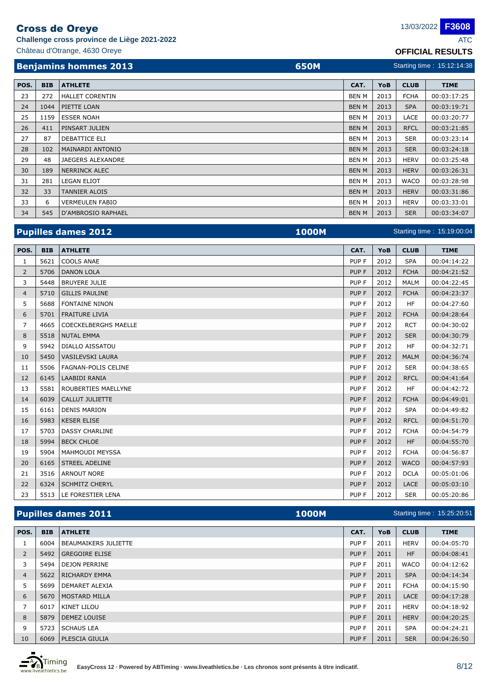**Challenge cross province de Liège 2021-2022** 

| <b>Beniamins hommes 2013</b>  | <b>650M</b> |
|-------------------------------|-------------|
| Château d'Otrange, 4630 Oreye |             |

**F3608**

Château d'Otrange, 4630 Oreye **OFFICIAL RESULTS** Starting time : 15:12:14:38

| POS. | <b>BIB</b> | <b>ATHLETE</b>            | CAT.         | YoB  | <b>CLUB</b> | <b>TIME</b> |
|------|------------|---------------------------|--------------|------|-------------|-------------|
| 23   | 272        | <b>HALLET CORENTIN</b>    | BEN M        | 2013 | <b>FCHA</b> | 00:03:17:25 |
| 24   | 1044       | PIETTE LOAN               | <b>BEN M</b> | 2013 | <b>SPA</b>  | 00:03:19:71 |
| 25   | 1159       | <b>ESSER NOAH</b>         | BEN M        | 2013 | LACE        | 00:03:20:77 |
| 26   | 411        | PINSART JULIEN            | <b>BEN M</b> | 2013 | <b>RFCL</b> | 00:03:21:85 |
| 27   | 87         | DEBATTICE ELI             | BEN M        | 2013 | <b>SER</b>  | 00:03:23:14 |
| 28   | 102        | MAINARDI ANTONIO          | <b>BEN M</b> | 2013 | <b>SER</b>  | 00:03:24:18 |
| 29   | 48         | JAEGERS ALEXANDRE         | BEN M        | 2013 | <b>HERV</b> | 00:03:25:48 |
| 30   | 189        | <b>NERRINCK ALEC</b>      | <b>BEN M</b> | 2013 | <b>HERV</b> | 00:03:26:31 |
| 31   | 281        | <b>LEGAN ELIOT</b>        | BEN M        | 2013 | <b>WACO</b> | 00:03:28:98 |
| 32   | 33         | <b>TANNIER ALOIS</b>      | <b>BEN M</b> | 2013 | <b>HERV</b> | 00:03:31:86 |
| 33   | 6          | <b>VERMEULEN FABIO</b>    | BEN M        | 2013 | <b>HERV</b> | 00:03:33:01 |
| 34   | 545        | <b>D'AMBROSIO RAPHAEL</b> | <b>BEN M</b> | 2013 | <b>SER</b>  | 00:03:34:07 |

|                |            | <b>Pupilles dames 2012</b><br><b>1000M</b> | Starting time: 15:19:00:04 |      |             |             |  |
|----------------|------------|--------------------------------------------|----------------------------|------|-------------|-------------|--|
| POS.           | <b>BIB</b> | <b>ATHLETE</b>                             | CAT.                       | YoB  | <b>CLUB</b> | <b>TIME</b> |  |
| 1              | 5621       | <b>COOLS ANAE</b>                          | PUP F                      | 2012 | <b>SPA</b>  | 00:04:14:22 |  |
| $\overline{2}$ | 5706       | <b>DANON LOLA</b>                          | PUP F                      | 2012 | <b>FCHA</b> | 00:04:21:52 |  |
| 3              | 5448       | <b>BRUYERE JULIE</b>                       | PUP F                      | 2012 | <b>MALM</b> | 00:04:22:45 |  |
| $\overline{4}$ | 5710       | <b>GILLIS PAULINE</b>                      | PUP F                      | 2012 | <b>FCHA</b> | 00:04:23:37 |  |
| 5              | 5688       | <b>FONTAINE NINON</b>                      | PUP F                      | 2012 | <b>HF</b>   | 00:04:27:60 |  |
| 6              | 5701       | <b>FRAITURE LIVIA</b>                      | PUP F                      | 2012 | <b>FCHA</b> | 00:04:28:64 |  |
| $\overline{7}$ | 4665       | <b>COECKELBERGHS MAELLE</b>                | PUP F                      | 2012 | <b>RCT</b>  | 00:04:30:02 |  |
| 8              | 5518       | <b>NUTAL EMMA</b>                          | PUP F                      | 2012 | <b>SER</b>  | 00:04:30:79 |  |
| 9              | 5942       | <b>DIALLO AISSATOU</b>                     | PUP F                      | 2012 | <b>HF</b>   | 00:04:32:71 |  |
| 10             | 5450       | <b>VASILEVSKI LAURA</b>                    | PUP F                      | 2012 | <b>MALM</b> | 00:04:36:74 |  |
| 11             | 5506       | <b>FAGNAN-POLIS CELINE</b>                 | PUP F                      | 2012 | <b>SER</b>  | 00:04:38:65 |  |
| 12             | 6145       | <b>LAABIDI RANIA</b>                       | PUP F                      | 2012 | <b>RFCL</b> | 00:04:41:64 |  |
| 13             | 5581       | ROUBERTIES MAELLYNE                        | PUP F                      | 2012 | <b>HF</b>   | 00:04:42:72 |  |
| 14             | 6039       | <b>CALLUT JULIETTE</b>                     | PUP F                      | 2012 | <b>FCHA</b> | 00:04:49:01 |  |
| 15             | 6161       | <b>DENIS MARION</b>                        | PUP F                      | 2012 | <b>SPA</b>  | 00:04:49:82 |  |
| 16             | 5983       | <b>KESER ELISE</b>                         | PUP F                      | 2012 | <b>RFCL</b> | 00:04:51:70 |  |
| 17             | 5703       | <b>DASSY CHARLINE</b>                      | PUP F                      | 2012 | <b>FCHA</b> | 00:04:54:79 |  |
| 18             | 5994       | <b>BECK CHLOE</b>                          | PUP F                      | 2012 | <b>HF</b>   | 00:04:55:70 |  |
| 19             | 5904       | <b>MAHMOUDI MEYSSA</b>                     | PUP F                      | 2012 | <b>FCHA</b> | 00:04:56:87 |  |
| 20             | 6165       | <b>STREEL ADELINE</b>                      | PUP F                      | 2012 | <b>WACO</b> | 00:04:57:93 |  |
| 21             | 3516       | <b>ARNOUT NORE</b>                         | PUP F                      | 2012 | <b>DCLA</b> | 00:05:01:06 |  |
| 22             | 6324       | <b>SCHMITZ CHERYL</b>                      | PUP F                      | 2012 | <b>LACE</b> | 00:05:03:10 |  |
| 23             | 5513       | LE FORESTIER LENA                          | PUP F                      | 2012 | <b>SER</b>  | 00:05:20:86 |  |

## **Pupilles dames 2011 1000M 1000M**

**BIB ATHLETE CAT. YoB CLUB TIME POS.** 6004 BEAUMAIKERS JULIETTE PUP F 2011 HERV 00:04:05:70 2 5492 GREGOIRE ELISE PUP F 2011 HF 00:04:08:41 5494 DEJON PERRINE PUP F 2011 WACO 00:04:12:62 4 5622 RICHARDY EMMA PUP F 2011 SPA 00:04:14:34 5699 DEMARET ALEXIA PUP F 2011 FCHA 00:04:15:90 5670 MOSTARD MILLA PUP F 2011 LACE 00:04:17:28 6017 KINET LILOU PUP F 2011 HERV 00:04:18:92 8 5879 DEMEZ LOUISE PUP F 2011 | HERV 00:04:20:25 5723 SCHAUS LEA PUP F 2011 SPA 00:04:24:21 6069 PLESCIA GIULIA PUP F 2011 SER 00:04:26:50



Starting time : 15:25:20:51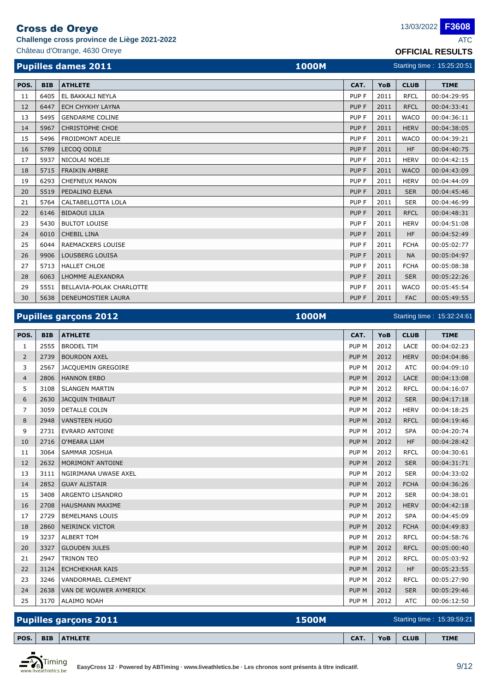**Challenge cross province de Liège 2021-2022** ATC

**F3608**

|      |            | Château d'Otrange, 4630 Oreye              | <b>OFFICIAL RESULTS</b> |      |             |                            |
|------|------------|--------------------------------------------|-------------------------|------|-------------|----------------------------|
|      |            | <b>Pupilles dames 2011</b><br><b>1000M</b> |                         |      |             | Starting time: 15:25:20:51 |
| POS. | <b>BIB</b> | <b>ATHLETE</b>                             | CAT.                    | YoB  | <b>CLUB</b> | <b>TIME</b>                |
| 11   | 6405       | EL BAKKALI NEYLA                           | PUP F                   | 2011 | <b>RFCL</b> | 00:04:29:95                |
| 12   | 6447       | <b>ECH CHYKHY LAYNA</b>                    | PUP F                   | 2011 | <b>RFCL</b> | 00:04:33:41                |
| 13   | 5495       | <b>GENDARME COLINE</b>                     | PUP <sub>F</sub>        | 2011 | <b>WACO</b> | 00:04:36:11                |
| 14   | 5967       | <b>CHRISTOPHE CHOE</b>                     | PUP F                   | 2011 | <b>HERV</b> | 00:04:38:05                |
| 15   | 5496       | <b>FROIDMONT ADELIE</b>                    | PUP <sub>F</sub>        | 2011 | <b>WACO</b> | 00:04:39:21                |
| 16   | 5789       | LECOO ODILE                                | PUP F                   | 2011 | <b>HF</b>   | 00:04:40:75                |
| 17   | 5937       | NICOLAI NOELIE                             | PUP F                   | 2011 | <b>HERV</b> | 00:04:42:15                |
| 18   | 5715       | <b>FRAIKIN AMBRE</b>                       | <b>PUPF</b>             | 2011 | <b>WACO</b> | 00:04:43:09                |
| 19   | 6293       | <b>CHEFNEUX MANON</b>                      | PUP <sub>F</sub>        | 2011 | <b>HERV</b> | 00:04:44:09                |
| 20   | 5519       | <b>PEDALINO ELENA</b>                      | PUP F                   | 2011 | <b>SER</b>  | 00:04:45:46                |
| 21   | 5764       | CALTABELLOTTA LOLA                         | PUP <sub>F</sub>        | 2011 | <b>SER</b>  | 00:04:46:99                |
| 22   | 6146       | <b>BIDAOUI LILIA</b>                       | <b>PUPF</b>             | 2011 | <b>RFCL</b> | 00:04:48:31                |
| 23   | 5430       | <b>BULTOT LOUISE</b>                       | PUP F                   | 2011 | <b>HERV</b> | 00:04:51:08                |
| 24   | 6010       | <b>CHEBIL LINA</b>                         | PUP F                   | 2011 | HF.         | 00:04:52:49                |
| 25   | 6044       | <b>RAEMACKERS LOUISE</b>                   | PUP F                   | 2011 | <b>FCHA</b> | 00:05:02:77                |
| 26   | 9906       | LOUSBERG LOUISA                            | PUP F                   | 2011 | <b>NA</b>   | 00:05:04:97                |
| 27   | 5713       | <b>HALLET CHLOE</b>                        | PUP F                   | 2011 | <b>FCHA</b> | 00:05:08:38                |
| 28   | 6063       | <b>LHOMME ALEXANDRA</b>                    | <b>PUPF</b>             | 2011 | <b>SER</b>  | 00:05:22:26                |
|      |            |                                            |                         |      |             |                            |

29 | 5551 | BELLAVIA-POLAK CHARLOTTE | PUP F | 2011 | WACO | 00:05:45:54 5638 DENEUMOSTIER LAURA PUP F 2011 FAC 00:05:49:55

| <b>Pupilles garçons 2012</b> | <b>1000M</b> | Starting time: 15:32:24:61 |  |
|------------------------------|--------------|----------------------------|--|
|------------------------------|--------------|----------------------------|--|

**BIB ATHLETE CAT. YoB CLUB TIME POS.** 2555 BRODEL TIM PUP M 2012 LACE 00:04:02:23 2739 BOURDON AXEL PUP M 2012 HERV 00:04:04:86 2567 JACQUEMIN GREGOIRE PUP M 2012 ATC 00:04:09:10 4 2806 HANNON ERBO **PUP M 2012 LACE 00:04:13:08**  3108 SLANGEN MARTIN PUP M 2012 RFCL 00:04:16:07 2630 JACQUIN THIBAUT PUP M 2012 SER 00:04:17:18 3059 DETALLE COLIN PUP M 2012 HERV 00:04:18:25 2948 VANSTEEN HUGO PUP M 2012 RFCL 00:04:19:46 2731 EVRARD ANTOINE PUP M 2012 SPA 00:04:20:74 2716 O'MEARA LIAM PUP M 2012 HF 00:04:28:42 11 3064 SAMMAR JOSHUA PUP M 2012 RFCL 00:04:30:61 2632 MORIMONT ANTOINE PUP M 2012 SER 00:04:31:71 3111 NGIRIMANA UWASE AXEL PUP M 2012 SER 00:04:33:02 2852 GUAY ALISTAIR PUP M 2012 FCHA 00:04:36:26 3408 ARGENTO LISANDRO PUP M 2012 SER 00:04:38:01 2708 HAUSMANN MAXIME PUP M 2012 HERV 00:04:42:18 17 2729 BEMELMANS LOUIS PUP M 2012 SPA 00:04:45:09 2860 NEIRINCK VICTOR PUP M 2012 FCHA 00:04:49:83 3237 ALBERT TOM PUP M 2012 RFCL 00:04:58:76 20 3327 GLOUDEN JULES 20 3327 GLOUDEN JULES 20 3327 GLOUDEN JULES 2012 RFCL 00:05:00:40 2947 TRINON TEO PUP M 2012 RFCL 00:05:03:92 22 3124 ECHCHEKHAR KAIS **PUP M 2012 HF 00:05:23:55** 23 3246 VANDORMAEL CLEMENT PUP M 2012 RFCL 00:05:27:90 2638 VAN DE WOUWER AYMERICK PUP M 2012 SER 00:05:29:46

| <b>Pupilles garçons 2011</b><br><b>1500M</b> |  |                    | Starting time: 15:39:59:21 |     |             |             |
|----------------------------------------------|--|--------------------|----------------------------|-----|-------------|-------------|
|                                              |  |                    |                            |     |             |             |
| POS.                                         |  | <b>BIB ATHLETE</b> | $CAT$ .                    | YoB | <b>CLUB</b> | <b>TIME</b> |

25 3170 ALAIMO NOAH PUP M 2012 ATC 00:06:12:50

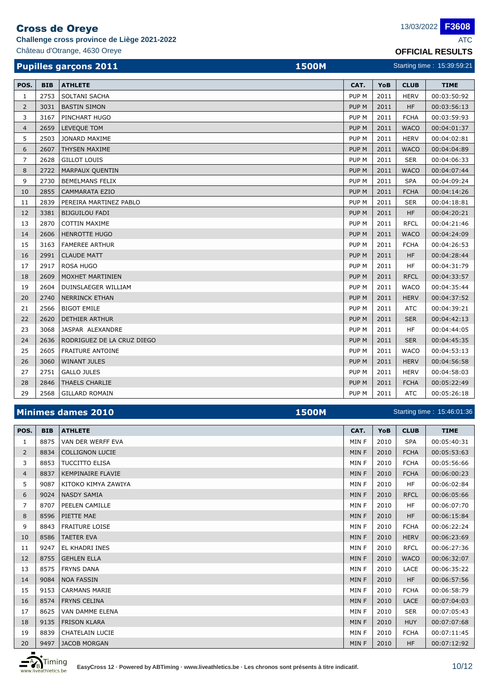**Challenge cross province de Liège 2021-2022** ATC

Château d'Otrange, 4630 Oreye **OFFICIAL RESULTS**

| <b>Pupilles garçons 2011</b><br><b>1500M</b> |               |                            |                  |       |              | Starting time: 15:39:59:21 |
|----------------------------------------------|---------------|----------------------------|------------------|-------|--------------|----------------------------|
| POS.                                         | <b>BIB</b>    | <b>ATHLETE</b>             | CAT.             | YoB   | <b>CLUB</b>  | <b>TIME</b>                |
| 1                                            | 2753          | SOLTANI SACHA              | PUP <sub>M</sub> | 2011  | <b>HERV</b>  | 00:03:50:92                |
| 2                                            | 3031          | <b>BASTIN SIMON</b>        | PUP <sub>M</sub> | 2011  | <b>HF</b>    | 00:03:56:13                |
| 3                                            | 3167          | PINCHART HUGO              | PUP <sub>M</sub> | 2011  | <b>FCHA</b>  | 00:03:59:93                |
| 4                                            | 2659          | LEVEQUE TOM                | PUP <sub>M</sub> | 2011  | <b>WACO</b>  | 00:04:01:37                |
| 5                                            | 2503          | JONARD MAXIME              | PUP <sub>M</sub> | 2011  | <b>HERV</b>  | 00:04:02:81                |
| 6                                            | 2607          | THYSEN MAXIME              | PUP <sub>M</sub> | 2011  | <b>WACO</b>  | 00:04:04:89                |
| $\overline{7}$                               | 2628          | <b>GILLOT LOUIS</b>        | PUP <sub>M</sub> | 2011  | <b>SER</b>   | 00:04:06:33                |
| 8                                            | 2722          | <b>MARPAUX QUENTIN</b>     | PUP <sub>M</sub> | 2011  | <b>WACO</b>  | 00:04:07:44                |
| 9                                            | 2730          | <b>BEMELMANS FELIX</b>     | PUP <sub>M</sub> | 2011  | <b>SPA</b>   | 00:04:09:24                |
| 10                                           | 2855          | <b>CAMMARATA EZIO</b>      | PUP <sub>M</sub> | 2011  | <b>FCHA</b>  | 00:04:14:26                |
| 11                                           | 2839          | PEREIRA MARTINEZ PABLO     | PUP <sub>M</sub> | 2011  | <b>SER</b>   | 00:04:18:81                |
| 12                                           | 3381          | <b>BIJGUILOU FADI</b>      | PUP <sub>M</sub> | 2011  | <b>HF</b>    | 00:04:20:21                |
| 13                                           | 2870          | <b>COTTIN MAXIME</b>       | PUP <sub>M</sub> | 2011  | <b>RFCL</b>  | 00:04:21:46                |
| 14                                           | 2606          | <b>HENROTTE HUGO</b>       | PUP <sub>M</sub> | 2011  | <b>WACO</b>  | 00:04:24:09                |
| 15                                           | 3163          | <b>FAMEREE ARTHUR</b>      | PUP <sub>M</sub> | 2011  | <b>FCHA</b>  | 00:04:26:53                |
| 16                                           | 2991          | <b>CLAUDE MATT</b>         | PUP <sub>M</sub> | 2011  | <b>HF</b>    | 00:04:28:44                |
| 17                                           | 2917          | <b>ROSA HUGO</b>           | PUP <sub>M</sub> | 2011  | HF           | 00:04:31:79                |
| 18                                           | 2609          | MOXHET MARTINIEN           | PUP <sub>M</sub> | 2011  | <b>RFCL</b>  | 00:04:33:57                |
| 19                                           | 2604          | DUINSLAEGER WILLIAM        | PUP <sub>M</sub> | 2011  | <b>WACO</b>  | 00:04:35:44                |
| 20                                           | 2740          | <b>NERRINCK ETHAN</b>      | PUP <sub>M</sub> | 2011  | <b>HERV</b>  | 00:04:37:52                |
| 21                                           | 2566          | <b>BIGOT EMILE</b>         | PUP <sub>M</sub> | 2011  | <b>ATC</b>   | 00:04:39:21                |
| 22                                           | 2620          | <b>DETHIER ARTHUR</b>      | PUP <sub>M</sub> | 2011  | <b>SER</b>   | 00:04:42:13                |
| 23                                           | 3068          | JASPAR ALEXANDRE           | PUP <sub>M</sub> | 2011  | <b>HF</b>    | 00:04:44:05                |
| 24                                           | 2636          | RODRIGUEZ DE LA CRUZ DIEGO | PUP <sub>M</sub> | 2011  | <b>SER</b>   | 00:04:45:35                |
| 25                                           | 2605          | <b>FRAITURE ANTOINE</b>    | PUP <sub>M</sub> | 2011  | <b>WACO</b>  | 00:04:53:13                |
| $\sim$                                       | $\frac{1}{2}$ | 14.778188777711777         | min A            | 20.44 | $\mathbf{r}$ | 0.001525                   |

| Minimes dames 2010<br><b>1500M</b> |      |                         |       | Starting time: 15:46:01:36 |             |             |  |
|------------------------------------|------|-------------------------|-------|----------------------------|-------------|-------------|--|
| 29                                 | 2568 | <b>GILLARD ROMAIN</b>   | PUP M | 2011                       | <b>ATC</b>  | 00:05:26:18 |  |
|                                    |      |                         |       |                            |             |             |  |
| 28                                 | 2846 | <b>THAELS CHARLIE</b>   | PUP M | 2011                       | <b>FCHA</b> | 00:05:22:49 |  |
| 27                                 | 2751 | <b>GALLO JULES</b>      | PUP M | 2011                       | <b>HERV</b> | 00:04:58:03 |  |
| 26                                 | 3060 | WINANT JULES            | PUP M | 2011                       | <b>HERV</b> | 00:04:56:58 |  |
| 25                                 |      | 2605   FRAITURE ANTOINE | PUP M | 2011                       | WACO        | 00:04:53:13 |  |

| POS.           | <b>BIB</b> | <b>ATHLETE</b>           | CAT.  | YoB  | <b>CLUB</b> | <b>TIME</b> |
|----------------|------------|--------------------------|-------|------|-------------|-------------|
| $\mathbf{1}$   | 8875       | VAN DER WERFF EVA        | MIN F | 2010 | <b>SPA</b>  | 00:05:40:31 |
| $\overline{2}$ | 8834       | <b>COLLIGNON LUCIE</b>   | MIN F | 2010 | <b>FCHA</b> | 00:05:53:63 |
| 3              | 8853       | <b>TUCCITTO ELISA</b>    | MIN F | 2010 | <b>FCHA</b> | 00:05:56:66 |
| 4              | 8837       | <b>KEMPINAIRE FLAVIE</b> | MIN F | 2010 | <b>FCHA</b> | 00:06:00:23 |
| 5              | 9087       | KITOKO KIMYA ZAWIYA      | MIN F | 2010 | <b>HF</b>   | 00:06:02:84 |
| 6              | 9024       | <b>NASDY SAMIA</b>       | MIN F | 2010 | <b>RFCL</b> | 00:06:05:66 |
| 7              | 8707       | PEELEN CAMILLE           | MIN F | 2010 | HF.         | 00:06:07:70 |
| 8              | 8596       | PIETTE MAE               | MIN F | 2010 | <b>HF</b>   | 00:06:15:84 |
| 9              | 8843       | <b>FRAITURE LOISE</b>    | MIN F | 2010 | <b>FCHA</b> | 00:06:22:24 |
| 10             | 8586       | <b>TAETER EVA</b>        | MIN F | 2010 | <b>HERV</b> | 00:06:23:69 |
| 11             | 9247       | EL KHADRI INES           | MIN F | 2010 | <b>RFCL</b> | 00:06:27:36 |
| 12             | 8755       | <b>GEHLEN ELLA</b>       | MIN F | 2010 | <b>WACO</b> | 00:06:32:07 |
| 13             | 8575       | <b>FRYNS DANA</b>        | MIN F | 2010 | LACE        | 00:06:35:22 |
| 14             | 9084       | <b>NOA FASSIN</b>        | MIN F | 2010 | <b>HF</b>   | 00:06:57:56 |
| 15             | 9153       | <b>CARMANS MARIE</b>     | MIN F | 2010 | <b>FCHA</b> | 00:06:58:79 |
| 16             | 8574       | <b>FRYNS CELINA</b>      | MIN F | 2010 | <b>LACE</b> | 00:07:04:03 |
| 17             | 8625       | VAN DAMME ELENA          | MIN F | 2010 | <b>SER</b>  | 00:07:05:43 |
| 18             | 9135       | <b>FRISON KLARA</b>      | MIN F | 2010 | <b>HUY</b>  | 00:07:07:68 |
| 19             | 8839       | <b>CHATELAIN LUCIE</b>   | MIN F | 2010 | <b>FCHA</b> | 00:07:11:45 |
| 20             | 9497       | <b>JACOB MORGAN</b>      | MIN F | 2010 | <b>HF</b>   | 00:07:12:92 |

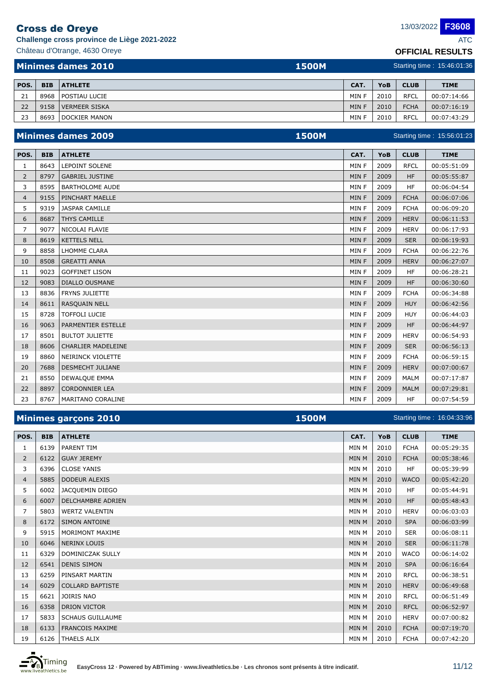**Challenge cross province de Liège 2021-2022** ATC

Château d'Otrange, 4630 Oreye **OFFICIAL RESULTS**

Starting time : 15:56:01:23

**F3608**

|      | Minimes dames 2010<br><b>1500M</b> |                      |       | Starting time: 15:46:01:36 |             |             |  |  |
|------|------------------------------------|----------------------|-------|----------------------------|-------------|-------------|--|--|
| POS. | <b>BIB</b>                         | <b>ATHLETE</b>       | CAT.  | YoB                        | <b>CLUB</b> | <b>TIME</b> |  |  |
| 21   | 8968                               | <b>POSTIAU LUCIE</b> | MIN F | 2010                       | <b>RFCL</b> | 00:07:14:66 |  |  |
| 22   | 9158                               | <b>VERMEER SISKA</b> | MIN F | 2010                       | <b>FCHA</b> | 00:07:16:19 |  |  |
| 23   | 8693                               | <b>DOCKIER MANON</b> | MIN F | 2010                       | <b>RFCL</b> | 00:07:43:29 |  |  |

## **Minimes dames 2009 1500M 1500M**

| POS.           | <b>BIB</b> | <b>ATHLETE</b>            | CAT.  | YoB  | <b>CLUB</b> | <b>TIME</b> |
|----------------|------------|---------------------------|-------|------|-------------|-------------|
| 1              | 8643       | LEPOINT SOLENE            | MIN F | 2009 | <b>RFCL</b> | 00:05:51:09 |
| $\overline{2}$ | 8797       | <b>GABRIEL JUSTINE</b>    | MIN F | 2009 | <b>HF</b>   | 00:05:55:87 |
| 3              | 8595       | <b>BARTHOLOME AUDE</b>    | MIN F | 2009 | <b>HF</b>   | 00:06:04:54 |
| 4              | 9155       | PINCHART MAELLE           | MIN F | 2009 | <b>FCHA</b> | 00:06:07:06 |
| 5              | 9319       | <b>JASPAR CAMILLE</b>     | MIN F | 2009 | <b>FCHA</b> | 00:06:09:20 |
| 6              | 8687       | <b>THYS CAMILLE</b>       | MIN F | 2009 | <b>HERV</b> | 00:06:11:53 |
| 7              | 9077       | NICOLAI FLAVIE            | MIN F | 2009 | <b>HERV</b> | 00:06:17:93 |
| 8              | 8619       | <b>KETTELS NELL</b>       | MIN F | 2009 | <b>SER</b>  | 00:06:19:93 |
| 9              | 8858       | <b>LHOMME CLARA</b>       | MIN F | 2009 | <b>FCHA</b> | 00:06:22:76 |
| 10             | 8508       | <b>GREATTI ANNA</b>       | MIN F | 2009 | <b>HERV</b> | 00:06:27:07 |
| 11             | 9023       | <b>GOFFINET LISON</b>     | MIN F | 2009 | <b>HF</b>   | 00:06:28:21 |
| 12             | 9083       | <b>DIALLO OUSMANE</b>     | MIN F | 2009 | <b>HF</b>   | 00:06:30:60 |
| 13             | 8836       | <b>FRYNS JULIETTE</b>     | MIN F | 2009 | <b>FCHA</b> | 00:06:34:88 |
| 14             | 8611       | <b>RASQUAIN NELL</b>      | MIN F | 2009 | <b>HUY</b>  | 00:06:42:56 |
| 15             | 8728       | <b>TOFFOLI LUCIE</b>      | MIN F | 2009 | <b>HUY</b>  | 00:06:44:03 |
| 16             | 9063       | <b>PARMENTIER ESTELLE</b> | MIN F | 2009 | <b>HF</b>   | 00:06:44:97 |
| 17             | 8501       | <b>BULTOT JULIETTE</b>    | MIN F | 2009 | <b>HERV</b> | 00:06:54:93 |
| 18             | 8606       | <b>CHARLIER MADELEINE</b> | MIN F | 2009 | <b>SER</b>  | 00:06:56:13 |
| 19             | 8860       | NEIRINCK VIOLETTE         | MIN F | 2009 | <b>FCHA</b> | 00:06:59:15 |
| 20             | 7688       | <b>DESMECHT JULIANE</b>   | MIN F | 2009 | <b>HERV</b> | 00:07:00:67 |
| 21             | 8550       | <b>DEWALQUE EMMA</b>      | MIN F | 2009 | <b>MALM</b> | 00:07:17:87 |
| 22             | 8897       | <b>CORDONNIER LEA</b>     | MIN F | 2009 | <b>MALM</b> | 00:07:29:81 |
| 23             | 8767       | MARITANO CORALINE         | MIN F | 2009 | <b>HF</b>   | 00:07:54:59 |

| Minimes garçons 2010<br><b>1500M</b> |            |                          |              |      |             | Starting time: 16:04:33:96 |
|--------------------------------------|------------|--------------------------|--------------|------|-------------|----------------------------|
| POS.                                 | <b>BIB</b> | <b>ATHLETE</b>           | CAT.         | YoB  | <b>CLUB</b> | <b>TIME</b>                |
| $\mathbf{1}$                         | 6139       | <b>PARENT TIM</b>        | MIN M        | 2010 | <b>FCHA</b> | 00:05:29:35                |
| $\overline{2}$                       | 6122       | <b>GUAY JEREMY</b>       | <b>MIN M</b> | 2010 | <b>FCHA</b> | 00:05:38:46                |
| 3                                    | 6396       | <b>CLOSE YANIS</b>       | MIN M        | 2010 | <b>HF</b>   | 00:05:39:99                |
| $\overline{4}$                       | 5885       | <b>DODEUR ALEXIS</b>     | <b>MIN M</b> | 2010 | <b>WACO</b> | 00:05:42:20                |
| 5                                    | 6002       | JACQUEMIN DIEGO          | MIN M        | 2010 | <b>HF</b>   | 00:05:44:91                |
| 6                                    | 6007       | <b>DELCHAMBRE ADRIEN</b> | <b>MIN M</b> | 2010 | <b>HF</b>   | 00:05:48:43                |
| 7                                    | 5803       | <b>WERTZ VALENTIN</b>    | MIN M        | 2010 | <b>HERV</b> | 00:06:03:03                |
| 8                                    | 6172       | <b>SIMON ANTOINE</b>     | <b>MIN M</b> | 2010 | <b>SPA</b>  | 00:06:03:99                |
| 9                                    | 5915       | <b>MORIMONT MAXIME</b>   | MIN M        | 2010 | <b>SER</b>  | 00:06:08:11                |
| 10                                   | 6046       | NERINX LOUIS             | <b>MIN M</b> | 2010 | <b>SER</b>  | 00:06:11:78                |
| 11                                   | 6329       | <b>DOMINICZAK SULLY</b>  | MIN M        | 2010 | <b>WACO</b> | 00:06:14:02                |
| 12                                   | 6541       | <b>DENIS SIMON</b>       | <b>MIN M</b> | 2010 | <b>SPA</b>  | 00:06:16:64                |
| 13                                   | 6259       | PINSART MARTIN           | MIN M        | 2010 | <b>RFCL</b> | 00:06:38:51                |
| 14                                   | 6029       | <b>COLLARD BAPTISTE</b>  | <b>MIN M</b> | 2010 | <b>HERV</b> | 00:06:49:68                |
| 15                                   | 6621       | <b>JOIRIS NAO</b>        | MIN M        | 2010 | <b>RFCL</b> | 00:06:51:49                |
| 16                                   | 6358       | <b>DRION VICTOR</b>      | <b>MIN M</b> | 2010 | <b>RFCL</b> | 00:06:52:97                |
| 17                                   | 5833       | <b>SCHAUS GUILLAUME</b>  | MIN M        | 2010 | <b>HERV</b> | 00:07:00:82                |
| 18                                   | 6133       | <b>FRANCOIS MAXIME</b>   | MIN M        | 2010 | <b>FCHA</b> | 00:07:19:70                |
| 19                                   |            | 6126   THAELS ALIX       | MIN M        | 2010 | <b>FCHA</b> | 00:07:42:20                |